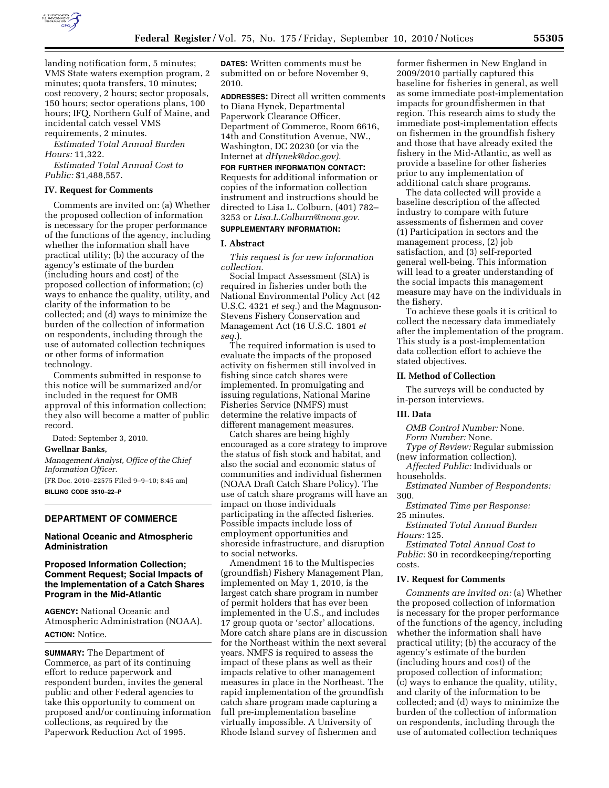

landing notification form, 5 minutes; VMS State waters exemption program, 2 minutes; quota transfers, 10 minutes; cost recovery, 2 hours; sector proposals, 150 hours; sector operations plans, 100 hours; IFQ, Northern Gulf of Maine, and incidental catch vessel VMS requirements, 2 minutes.

*Estimated Total Annual Burden Hours:* 11,322.

*Estimated Total Annual Cost to Public:* \$1,488,557.

## **IV. Request for Comments**

Comments are invited on: (a) Whether the proposed collection of information is necessary for the proper performance of the functions of the agency, including whether the information shall have practical utility; (b) the accuracy of the agency's estimate of the burden (including hours and cost) of the proposed collection of information; (c) ways to enhance the quality, utility, and clarity of the information to be collected; and (d) ways to minimize the burden of the collection of information on respondents, including through the use of automated collection techniques or other forms of information technology.

Comments submitted in response to this notice will be summarized and/or included in the request for OMB approval of this information collection; they also will become a matter of public record.

Dated: September 3, 2010.

#### **Gwellnar Banks,**

*Management Analyst, Office of the Chief Information Officer.* 

[FR Doc. 2010–22575 Filed 9–9–10; 8:45 am] **BILLING CODE 3510–22–P** 

## **DEPARTMENT OF COMMERCE**

#### **National Oceanic and Atmospheric Administration**

## **Proposed Information Collection; Comment Request; Social Impacts of the Implementation of a Catch Shares Program in the Mid-Atlantic**

**AGENCY:** National Oceanic and Atmospheric Administration (NOAA). **ACTION:** Notice.

**SUMMARY:** The Department of Commerce, as part of its continuing effort to reduce paperwork and respondent burden, invites the general public and other Federal agencies to take this opportunity to comment on proposed and/or continuing information collections, as required by the Paperwork Reduction Act of 1995.

**DATES:** Written comments must be submitted on or before November 9, 2010.

**ADDRESSES:** Direct all written comments to Diana Hynek, Departmental Paperwork Clearance Officer, Department of Commerce, Room 6616, 14th and Constitution Avenue, NW., Washington, DC 20230 (or via the Internet at *[dHynek@doc.gov\).](mailto:dHynek@doc.gov)* 

**FOR FURTHER INFORMATION CONTACT:**  Requests for additional information or copies of the information collection instrument and instructions should be directed to Lisa L. Colburn, (401) 782– 3253 or *[Lisa.L.Colburn@noaa.gov.](mailto:Lisa.L.Colburn@noaa.gov)* 

## **SUPPLEMENTARY INFORMATION:**

## **I. Abstract**

*This request is for new information collection.* 

Social Impact Assessment (SIA) is required in fisheries under both the National Environmental Policy Act (42 U.S.C. 4321 *et seq.*) and the Magnuson-Stevens Fishery Conservation and Management Act (16 U.S.C. 1801 *et seq.*).

The required information is used to evaluate the impacts of the proposed activity on fishermen still involved in fishing since catch shares were implemented. In promulgating and issuing regulations, National Marine Fisheries Service (NMFS) must determine the relative impacts of different management measures.

Catch shares are being highly encouraged as a core strategy to improve the status of fish stock and habitat, and also the social and economic status of communities and individual fishermen (NOAA Draft Catch Share Policy). The use of catch share programs will have an impact on those individuals participating in the affected fisheries. Possible impacts include loss of employment opportunities and shoreside infrastructure, and disruption to social networks.

Amendment 16 to the Multispecies (groundfish) Fishery Management Plan, implemented on May 1, 2010, is the largest catch share program in number of permit holders that has ever been implemented in the U.S., and includes 17 group quota or 'sector' allocations. More catch share plans are in discussion for the Northeast within the next several years. NMFS is required to assess the impact of these plans as well as their impacts relative to other management measures in place in the Northeast. The rapid implementation of the groundfish catch share program made capturing a full pre-implementation baseline virtually impossible. A University of Rhode Island survey of fishermen and

former fishermen in New England in 2009/2010 partially captured this baseline for fisheries in general, as well as some immediate post-implementation impacts for groundfishermen in that region. This research aims to study the immediate post-implementation effects on fishermen in the groundfish fishery and those that have already exited the fishery in the Mid-Atlantic, as well as provide a baseline for other fisheries prior to any implementation of additional catch share programs.

The data collected will provide a baseline description of the affected industry to compare with future assessments of fishermen and cover (1) Participation in sectors and the management process, (2) job satisfaction, and (3) self-reported general well-being. This information will lead to a greater understanding of the social impacts this management measure may have on the individuals in the fishery.

To achieve these goals it is critical to collect the necessary data immediately after the implementation of the program. This study is a post-implementation data collection effort to achieve the stated objectives.

#### **II. Method of Collection**

The surveys will be conducted by in-person interviews.

#### **III. Data**

*OMB Control Number:* None.

*Form Number:* None.

*Type of Review:* Regular submission (new information collection).

*Affected Public:* Individuals or households.

*Estimated Number of Respondents:*  300.

*Estimated Time per Response:*  25 minutes.

*Estimated Total Annual Burden Hours:* 125.

*Estimated Total Annual Cost to Public:* \$0 in recordkeeping/reporting costs.

#### **IV. Request for Comments**

*Comments are invited on:* (a) Whether the proposed collection of information is necessary for the proper performance of the functions of the agency, including whether the information shall have practical utility; (b) the accuracy of the agency's estimate of the burden (including hours and cost) of the proposed collection of information; (c) ways to enhance the quality, utility, and clarity of the information to be collected; and (d) ways to minimize the burden of the collection of information on respondents, including through the use of automated collection techniques